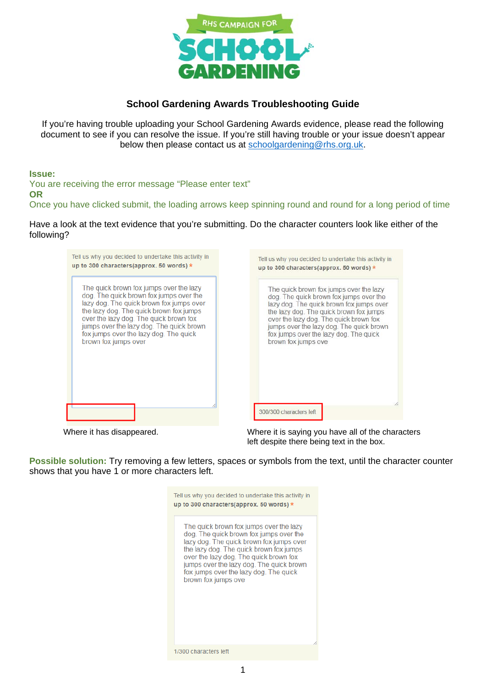

# **School Gardening Awards Troubleshooting Guide**

If you're having trouble uploading your School Gardening Awards evidence, please read the following document to see if you can resolve the issue. If you're still having trouble or your issue doesn't appear below then please contact us at schoolgardening@rhs.org.uk.

## **Issue:**

You are receiving the error message "Please enter text" **OR**  Once you have clicked submit, the loading arrows keep spinning round and round for a long period of time

Have a look at the text evidence that you're submitting. Do the character counters look like either of the following?

| Tell us why you decided to undertake this activity in | Tell us why you decided to undertake this activity in |
|-------------------------------------------------------|-------------------------------------------------------|
| up to 300 characters(approx. 50 words) $*$            | up to 300 characters(approx. 50 words) *              |
| The quick brown fox jumps over the lazy               | The quick brown fox jumps over the lazy               |
| dog. The quick brown fox jumps over the               | dog. The quick brown fox jumps over the               |
| lazy dog. The quick brown fox jumps over              | lazy dog. The quick brown fox jumps over              |
| the lazy dog. The quick brown fox jumps               | the lazy dog. The quick brown fox jumps               |
| over the lazy dog. The quick brown fox                | over the lazy dog. The quick brown fox                |
| jumps over the lazy dog. The quick brown              | jumps over the lazy dog. The quick brown              |
| fox jumps over the lazy dog. The quick                | fox jumps over the lazy dog. The quick                |
| brown fox jumps over                                  | brown fox jumps ove                                   |
|                                                       | 300/300 characters left                               |

Where it has disappeared. Where it is saying you have all of the characters left despite there being text in the box.

**Possible solution:** Try removing a few letters, spaces or symbols from the text, until the character counter shows that you have 1 or more characters left.

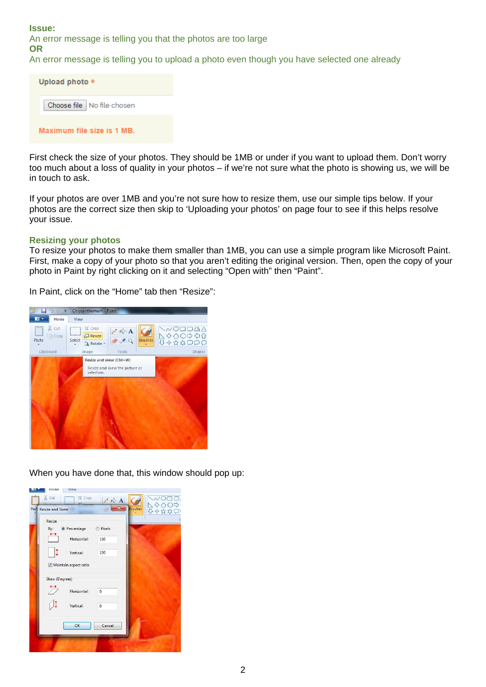**Issue:**

**OR** 

An error message is telling you that the photos are too large

An error message is telling you to upload a photo even though you have selected one already

| Upload photo $\star$         |  |
|------------------------------|--|
| Choose file   No file chosen |  |
| Maximum file size is 1 MB.   |  |

First check the size of your photos. They should be 1MB or under if you want to upload them. Don't worry too much about a loss of quality in your photos – if we're not sure what the photo is showing us, we will be in touch to ask.

If your photos are over 1MB and you're not sure how to resize them, use our simple tips below. If your photos are the correct size then skip to 'Uploading your photos' on page four to see if this helps resolve your issue.

#### **Resizing your photos**

To resize your photos to make them smaller than 1MB, you can use a simple program like Microsoft Paint. First, make a copy of your photo so that you aren't editing the original version. Then, open the copy of your photo in Paint by right clicking on it and selecting "Open with" then "Paint".

In Paint, click on the "Home" tab then "Resize":



When you have done that, this window should pop up:

| X Cut                  | 区 Crop                  | <b>NA</b><br>х |                | $\sim$ |
|------------------------|-------------------------|----------------|----------------|--------|
| <b>Resize and Skew</b> |                         |                | <b>Brushes</b> | 日本政なし  |
| Resize                 |                         |                |                |        |
| By:                    | <sup>O</sup> Percentage | <b>Pixels</b>  |                |        |
|                        | Horizontal:             | 100            |                |        |
|                        | Vertical:               | 100            |                |        |
|                        | Maintain aspect ratio   |                |                |        |
| Skew (Degrees)         |                         |                |                |        |
|                        | Horizontal:             | $\mathbf{0}$   |                |        |
|                        | Vertical:               | $\mathbf{0}$   |                |        |
|                        | OK                      | Cancel         |                |        |
|                        |                         |                |                |        |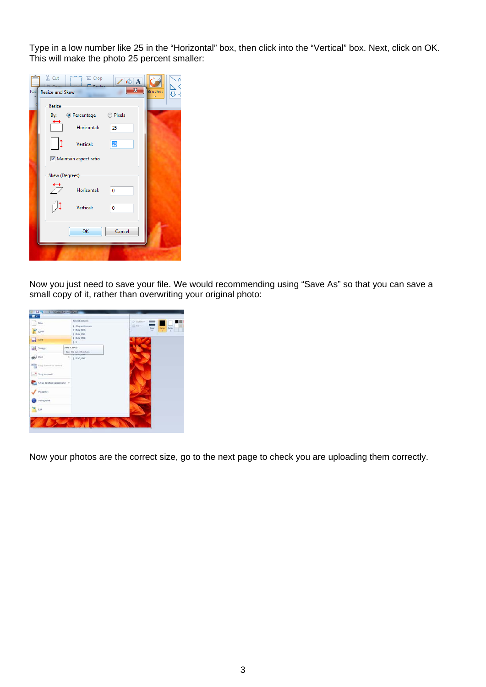Type in a low number like 25 in the "Horizontal" box, then click into the "Vertical" box. Next, click on OK. This will make the photo 25 percent smaller:

| & Cut<br>bi Crop<br>$\mathbb{Z} \otimes A$<br>$\Box$<br>$\mathbf{x}$<br>Past Resize and Skew | <b>Brushes</b> |
|----------------------------------------------------------------------------------------------|----------------|
| Resize<br>By: © Percentage © Pixels<br>Horizontal:<br>25                                     |                |
| 25<br>Vertical:<br>Maintain aspect ratio<br>Skew (Degrees)                                   |                |
| Horizontal:<br>$\mathbf{0}$<br>Vertical:<br>0                                                |                |
| Cancel<br>OK                                                                                 |                |

Now you just need to save your file. We would recommending using "Save As" so that you can save a small copy of it, rather than overwriting your original photo:



Now your photos are the correct size, go to the next page to check you are uploading them correctly.